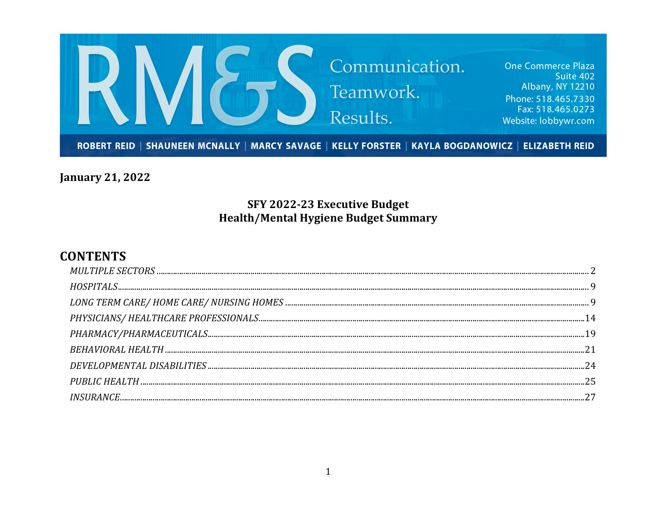

**January 21, 2022** 

## SFY 2022-23 Executive Budget **Health/Mental Hygiene Budget Summary**

## **CONTENTS**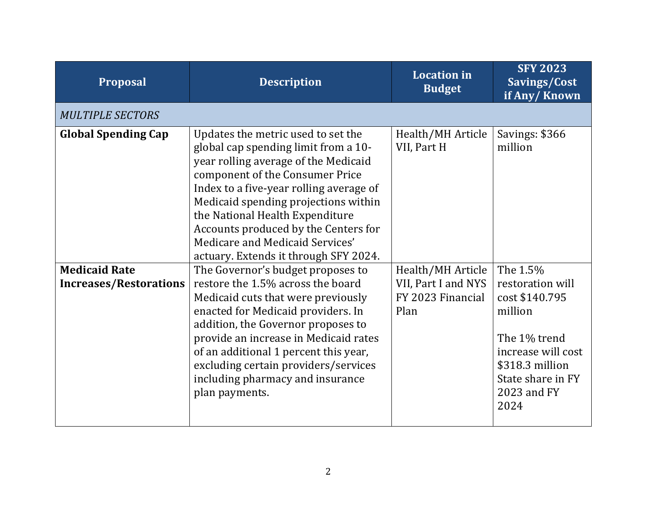| <b>Proposal</b>                                       | <b>Description</b>                                                                                                                                                                                                                                                                                                                                                                              | <b>Location</b> in<br><b>Budget</b>                                   | <b>SFY 2023</b><br>Savings/Cost<br>if Any/Known                                                                                         |
|-------------------------------------------------------|-------------------------------------------------------------------------------------------------------------------------------------------------------------------------------------------------------------------------------------------------------------------------------------------------------------------------------------------------------------------------------------------------|-----------------------------------------------------------------------|-----------------------------------------------------------------------------------------------------------------------------------------|
| <b>MULTIPLE SECTORS</b>                               |                                                                                                                                                                                                                                                                                                                                                                                                 |                                                                       |                                                                                                                                         |
| <b>Global Spending Cap</b>                            | Updates the metric used to set the<br>global cap spending limit from a 10-<br>year rolling average of the Medicaid<br>component of the Consumer Price<br>Index to a five-year rolling average of<br>Medicaid spending projections within<br>the National Health Expenditure<br>Accounts produced by the Centers for<br>Medicare and Medicaid Services'<br>actuary. Extends it through SFY 2024. | Health/MH Article<br>VII, Part H                                      | Savings: \$366<br>million                                                                                                               |
| <b>Medicaid Rate</b><br><b>Increases/Restorations</b> | The Governor's budget proposes to<br>restore the 1.5% across the board<br>Medicaid cuts that were previously<br>enacted for Medicaid providers. In<br>addition, the Governor proposes to<br>provide an increase in Medicaid rates<br>of an additional 1 percent this year,<br>excluding certain providers/services<br>including pharmacy and insurance                                          | Health/MH Article<br>VII, Part I and NYS<br>FY 2023 Financial<br>Plan | The 1.5%<br>restoration will<br>cost \$140.795<br>million<br>The 1% trend<br>increase will cost<br>\$318.3 million<br>State share in FY |
|                                                       | plan payments.                                                                                                                                                                                                                                                                                                                                                                                  |                                                                       | 2023 and FY<br>2024                                                                                                                     |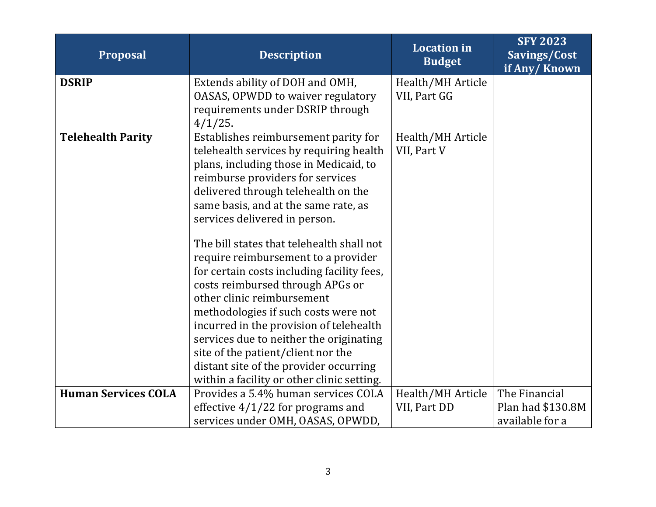| <b>Proposal</b>            | <b>Description</b>                                                      | <b>Location</b> in<br><b>Budget</b> | <b>SFY 2023</b><br>Savings/Cost<br>if Any/Known |
|----------------------------|-------------------------------------------------------------------------|-------------------------------------|-------------------------------------------------|
| <b>DSRIP</b>               | Extends ability of DOH and OMH,                                         | Health/MH Article                   |                                                 |
|                            | OASAS, OPWDD to waiver regulatory                                       | VII, Part GG                        |                                                 |
|                            | requirements under DSRIP through<br>$4/1/25$ .                          |                                     |                                                 |
| <b>Telehealth Parity</b>   | Establishes reimbursement parity for                                    | Health/MH Article                   |                                                 |
|                            | telehealth services by requiring health                                 | VII, Part V                         |                                                 |
|                            | plans, including those in Medicaid, to                                  |                                     |                                                 |
|                            | reimburse providers for services<br>delivered through telehealth on the |                                     |                                                 |
|                            | same basis, and at the same rate, as                                    |                                     |                                                 |
|                            | services delivered in person.                                           |                                     |                                                 |
|                            |                                                                         |                                     |                                                 |
|                            | The bill states that telehealth shall not                               |                                     |                                                 |
|                            | require reimbursement to a provider                                     |                                     |                                                 |
|                            | for certain costs including facility fees,                              |                                     |                                                 |
|                            | costs reimbursed through APGs or<br>other clinic reimbursement          |                                     |                                                 |
|                            | methodologies if such costs were not                                    |                                     |                                                 |
|                            | incurred in the provision of telehealth                                 |                                     |                                                 |
|                            | services due to neither the originating                                 |                                     |                                                 |
|                            | site of the patient/client nor the                                      |                                     |                                                 |
|                            | distant site of the provider occurring                                  |                                     |                                                 |
|                            | within a facility or other clinic setting.                              |                                     |                                                 |
| <b>Human Services COLA</b> | Provides a 5.4% human services COLA                                     | Health/MH Article                   | The Financial                                   |
|                            | effective $4/1/22$ for programs and                                     | VII, Part DD                        | Plan had \$130.8M                               |
|                            | services under OMH, OASAS, OPWDD,                                       |                                     | available for a                                 |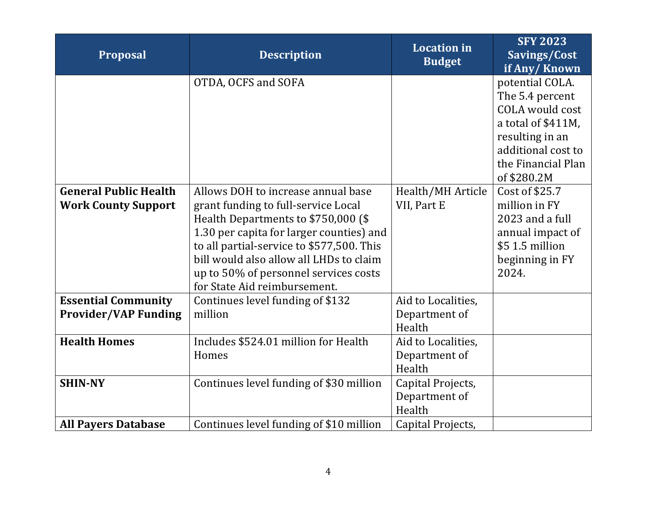| <b>Proposal</b>                                            | <b>Description</b>                                                                                                                                                                                                                                                                                                            | <b>Location</b> in<br><b>Budget</b>           | <b>SFY 2023</b><br>Savings/Cost<br>if Any/Known                                                                       |
|------------------------------------------------------------|-------------------------------------------------------------------------------------------------------------------------------------------------------------------------------------------------------------------------------------------------------------------------------------------------------------------------------|-----------------------------------------------|-----------------------------------------------------------------------------------------------------------------------|
|                                                            | OTDA, OCFS and SOFA                                                                                                                                                                                                                                                                                                           |                                               | potential COLA.<br>The 5.4 percent<br>COLA would cost<br>a total of \$411M,<br>resulting in an                        |
|                                                            |                                                                                                                                                                                                                                                                                                                               |                                               | additional cost to<br>the Financial Plan<br>of \$280.2M                                                               |
| <b>General Public Health</b><br><b>Work County Support</b> | Allows DOH to increase annual base<br>grant funding to full-service Local<br>Health Departments to \$750,000 (\$<br>1.30 per capita for larger counties) and<br>to all partial-service to \$577,500. This<br>bill would also allow all LHDs to claim<br>up to 50% of personnel services costs<br>for State Aid reimbursement. | Health/MH Article<br>VII, Part E              | Cost of \$25.7<br>million in FY<br>2023 and a full<br>annual impact of<br>\$5 1.5 million<br>beginning in FY<br>2024. |
| <b>Essential Community</b><br><b>Provider/VAP Funding</b>  | Continues level funding of \$132<br>million                                                                                                                                                                                                                                                                                   | Aid to Localities,<br>Department of<br>Health |                                                                                                                       |
| <b>Health Homes</b>                                        | Includes \$524.01 million for Health<br>Homes                                                                                                                                                                                                                                                                                 | Aid to Localities,<br>Department of<br>Health |                                                                                                                       |
| <b>SHIN-NY</b>                                             | Continues level funding of \$30 million                                                                                                                                                                                                                                                                                       | Capital Projects,<br>Department of<br>Health  |                                                                                                                       |
| <b>All Payers Database</b>                                 | Continues level funding of \$10 million                                                                                                                                                                                                                                                                                       | Capital Projects,                             |                                                                                                                       |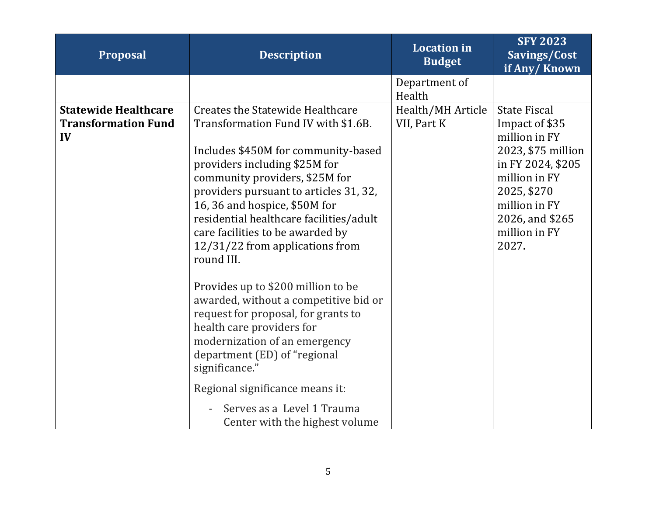| Proposal                                                        | <b>Description</b>                                                                                                                                                                                                                                                                                                                                                                                                                                                                                                                                                                                                      | <b>Location in</b><br><b>Budget</b> | <b>SFY 2023</b><br>Savings/Cost<br>if Any/Known                                                                                                                                                 |
|-----------------------------------------------------------------|-------------------------------------------------------------------------------------------------------------------------------------------------------------------------------------------------------------------------------------------------------------------------------------------------------------------------------------------------------------------------------------------------------------------------------------------------------------------------------------------------------------------------------------------------------------------------------------------------------------------------|-------------------------------------|-------------------------------------------------------------------------------------------------------------------------------------------------------------------------------------------------|
|                                                                 |                                                                                                                                                                                                                                                                                                                                                                                                                                                                                                                                                                                                                         | Department of<br>Health             |                                                                                                                                                                                                 |
| <b>Statewide Healthcare</b><br><b>Transformation Fund</b><br>IV | <b>Creates the Statewide Healthcare</b><br>Transformation Fund IV with \$1.6B.<br>Includes \$450M for community-based<br>providers including \$25M for<br>community providers, \$25M for<br>providers pursuant to articles 31, 32,<br>16, 36 and hospice, \$50M for<br>residential healthcare facilities/adult<br>care facilities to be awarded by<br>12/31/22 from applications from<br>round III.<br>Provides up to \$200 million to be<br>awarded, without a competitive bid or<br>request for proposal, for grants to<br>health care providers for<br>modernization of an emergency<br>department (ED) of "regional | Health/MH Article<br>VII, Part K    | <b>State Fiscal</b><br>Impact of \$35<br>million in FY<br>2023, \$75 million<br>in FY 2024, \$205<br>million in FY<br>2025, \$270<br>million in FY<br>2026, and \$265<br>million in FY<br>2027. |
|                                                                 | significance."<br>Regional significance means it:                                                                                                                                                                                                                                                                                                                                                                                                                                                                                                                                                                       |                                     |                                                                                                                                                                                                 |
|                                                                 | Serves as a Level 1 Trauma<br>Center with the highest volume                                                                                                                                                                                                                                                                                                                                                                                                                                                                                                                                                            |                                     |                                                                                                                                                                                                 |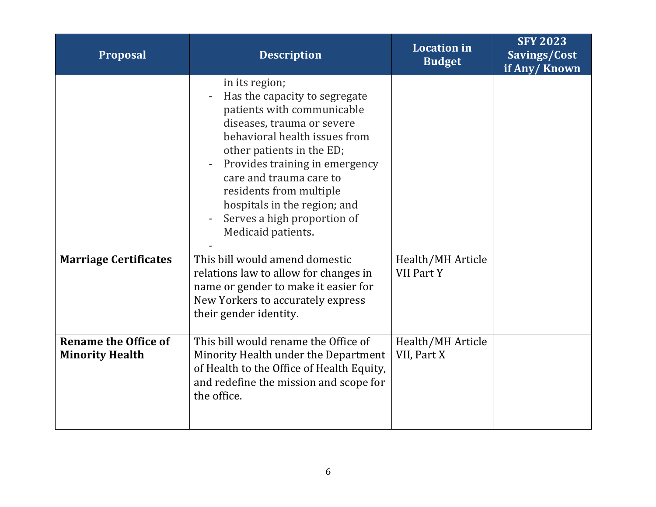| Proposal                                              | <b>Description</b>                                                                                                                                                                                                                                                                                                                                     | <b>Location</b> in<br><b>Budget</b> | <b>SFY 2023</b><br>Savings/Cost<br>if Any/Known |
|-------------------------------------------------------|--------------------------------------------------------------------------------------------------------------------------------------------------------------------------------------------------------------------------------------------------------------------------------------------------------------------------------------------------------|-------------------------------------|-------------------------------------------------|
|                                                       | in its region;<br>Has the capacity to segregate<br>patients with communicable<br>diseases, trauma or severe<br>behavioral health issues from<br>other patients in the ED;<br>Provides training in emergency<br>care and trauma care to<br>residents from multiple<br>hospitals in the region; and<br>Serves a high proportion of<br>Medicaid patients. |                                     |                                                 |
| <b>Marriage Certificates</b>                          | This bill would amend domestic<br>relations law to allow for changes in<br>name or gender to make it easier for<br>New Yorkers to accurately express<br>their gender identity.                                                                                                                                                                         | Health/MH Article<br>VII Part Y     |                                                 |
| <b>Rename the Office of</b><br><b>Minority Health</b> | This bill would rename the Office of<br>Minority Health under the Department<br>of Health to the Office of Health Equity,<br>and redefine the mission and scope for<br>the office.                                                                                                                                                                     | Health/MH Article<br>VII, Part X    |                                                 |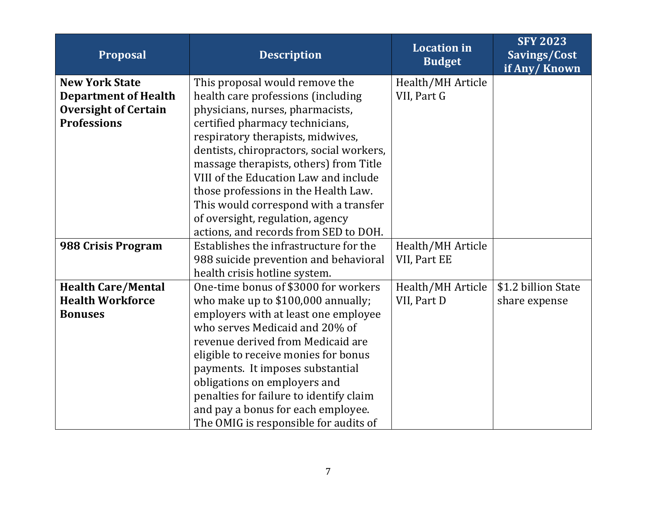| <b>Proposal</b>             | <b>Description</b>                       | <b>Location</b> in<br><b>Budget</b> | <b>SFY 2023</b><br>Savings/Cost<br>if Any/Known |
|-----------------------------|------------------------------------------|-------------------------------------|-------------------------------------------------|
| <b>New York State</b>       | This proposal would remove the           | Health/MH Article                   |                                                 |
| <b>Department of Health</b> | health care professions (including       | VII, Part G                         |                                                 |
| <b>Oversight of Certain</b> | physicians, nurses, pharmacists,         |                                     |                                                 |
| <b>Professions</b>          | certified pharmacy technicians,          |                                     |                                                 |
|                             | respiratory therapists, midwives,        |                                     |                                                 |
|                             | dentists, chiropractors, social workers, |                                     |                                                 |
|                             | massage therapists, others) from Title   |                                     |                                                 |
|                             | VIII of the Education Law and include    |                                     |                                                 |
|                             | those professions in the Health Law.     |                                     |                                                 |
|                             | This would correspond with a transfer    |                                     |                                                 |
|                             | of oversight, regulation, agency         |                                     |                                                 |
|                             | actions, and records from SED to DOH.    |                                     |                                                 |
| 988 Crisis Program          | Establishes the infrastructure for the   | Health/MH Article                   |                                                 |
|                             | 988 suicide prevention and behavioral    | VII, Part EE                        |                                                 |
|                             | health crisis hotline system.            |                                     |                                                 |
| <b>Health Care/Mental</b>   | One-time bonus of \$3000 for workers     | Health/MH Article                   | \$1.2 billion State                             |
| <b>Health Workforce</b>     | who make up to \$100,000 annually;       | VII, Part D                         | share expense                                   |
| <b>Bonuses</b>              | employers with at least one employee     |                                     |                                                 |
|                             | who serves Medicaid and 20% of           |                                     |                                                 |
|                             | revenue derived from Medicaid are        |                                     |                                                 |
|                             | eligible to receive monies for bonus     |                                     |                                                 |
|                             | payments. It imposes substantial         |                                     |                                                 |
|                             | obligations on employers and             |                                     |                                                 |
|                             | penalties for failure to identify claim  |                                     |                                                 |
|                             | and pay a bonus for each employee.       |                                     |                                                 |
|                             | The OMIG is responsible for audits of    |                                     |                                                 |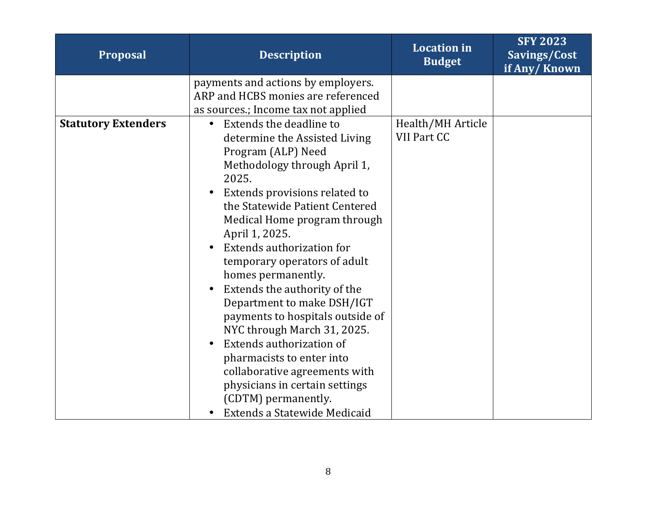| Proposal                   | <b>Description</b>                                                                                                                                                                                                                                                                                                                                                                                                                                                                                                                                                                                                                                                                   | <b>Location</b> in<br><b>Budget</b> | <b>SFY 2023</b><br>Savings/Cost<br>if Any/Known |
|----------------------------|--------------------------------------------------------------------------------------------------------------------------------------------------------------------------------------------------------------------------------------------------------------------------------------------------------------------------------------------------------------------------------------------------------------------------------------------------------------------------------------------------------------------------------------------------------------------------------------------------------------------------------------------------------------------------------------|-------------------------------------|-------------------------------------------------|
|                            | payments and actions by employers.<br>ARP and HCBS monies are referenced<br>as sources.; Income tax not applied                                                                                                                                                                                                                                                                                                                                                                                                                                                                                                                                                                      |                                     |                                                 |
| <b>Statutory Extenders</b> | Extends the deadline to<br>$\bullet$<br>determine the Assisted Living<br>Program (ALP) Need<br>Methodology through April 1,<br>2025.<br>Extends provisions related to<br>$\bullet$<br>the Statewide Patient Centered<br>Medical Home program through<br>April 1, 2025.<br><b>Extends authorization for</b><br>temporary operators of adult<br>homes permanently.<br>Extends the authority of the<br>Department to make DSH/IGT<br>payments to hospitals outside of<br>NYC through March 31, 2025.<br>Extends authorization of<br>pharmacists to enter into<br>collaborative agreements with<br>physicians in certain settings<br>(CDTM) permanently.<br>Extends a Statewide Medicaid | Health/MH Article<br>VII Part CC    |                                                 |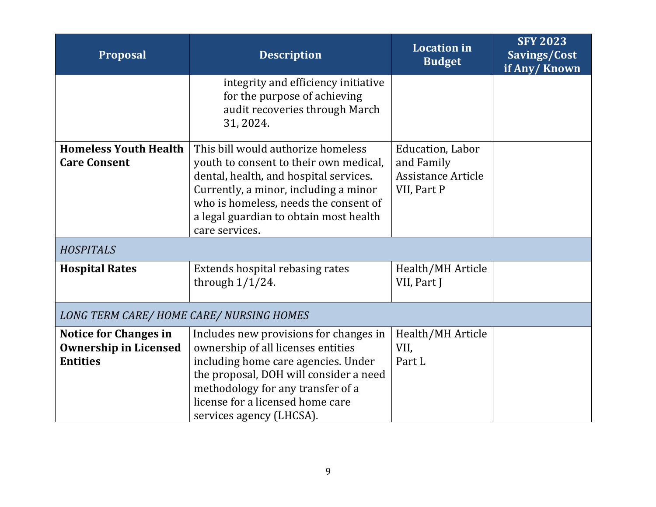| <b>Proposal</b>                                                                 | <b>Description</b>                                                                                                                                                                                                                                                   | <b>Location</b> in<br><b>Budget</b>                                        | <b>SFY 2023</b><br>Savings/Cost<br>if Any/Known |
|---------------------------------------------------------------------------------|----------------------------------------------------------------------------------------------------------------------------------------------------------------------------------------------------------------------------------------------------------------------|----------------------------------------------------------------------------|-------------------------------------------------|
|                                                                                 | integrity and efficiency initiative<br>for the purpose of achieving<br>audit recoveries through March<br>31, 2024.                                                                                                                                                   |                                                                            |                                                 |
| <b>Homeless Youth Health</b><br><b>Care Consent</b>                             | This bill would authorize homeless<br>youth to consent to their own medical,<br>dental, health, and hospital services.<br>Currently, a minor, including a minor<br>who is homeless, needs the consent of<br>a legal guardian to obtain most health<br>care services. | Education, Labor<br>and Family<br><b>Assistance Article</b><br>VII, Part P |                                                 |
| <b>HOSPITALS</b>                                                                |                                                                                                                                                                                                                                                                      |                                                                            |                                                 |
| <b>Hospital Rates</b>                                                           | Extends hospital rebasing rates<br>through $1/1/24$ .                                                                                                                                                                                                                | Health/MH Article<br>VII, Part J                                           |                                                 |
| LONG TERM CARE/HOME CARE/ NURSING HOMES                                         |                                                                                                                                                                                                                                                                      |                                                                            |                                                 |
| <b>Notice for Changes in</b><br><b>Ownership in Licensed</b><br><b>Entities</b> | Includes new provisions for changes in<br>ownership of all licenses entities<br>including home care agencies. Under<br>the proposal, DOH will consider a need<br>methodology for any transfer of a<br>license for a licensed home care<br>services agency (LHCSA).   | Health/MH Article<br>VII,<br>Part L                                        |                                                 |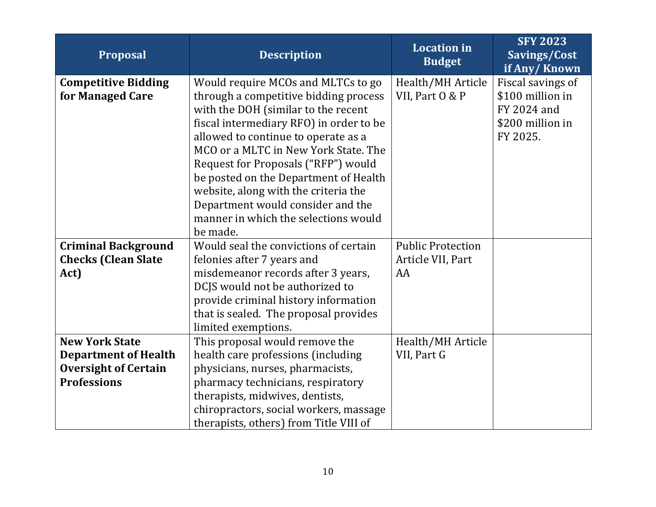| <b>Proposal</b>             | <b>Description</b>                      | <b>Location</b> in<br><b>Budget</b> | <b>SFY 2023</b><br>Savings/Cost<br>if Any/Known |
|-----------------------------|-----------------------------------------|-------------------------------------|-------------------------------------------------|
| <b>Competitive Bidding</b>  | Would require MCOs and MLTCs to go      | Health/MH Article                   | Fiscal savings of                               |
| for Managed Care            | through a competitive bidding process   | VII, Part O & P                     | \$100 million in                                |
|                             | with the DOH (similar to the recent     |                                     | FY 2024 and                                     |
|                             | fiscal intermediary RFO) in order to be |                                     | \$200 million in                                |
|                             | allowed to continue to operate as a     |                                     | FY 2025.                                        |
|                             | MCO or a MLTC in New York State. The    |                                     |                                                 |
|                             | Request for Proposals ("RFP") would     |                                     |                                                 |
|                             | be posted on the Department of Health   |                                     |                                                 |
|                             | website, along with the criteria the    |                                     |                                                 |
|                             | Department would consider and the       |                                     |                                                 |
|                             | manner in which the selections would    |                                     |                                                 |
|                             | be made.                                |                                     |                                                 |
| <b>Criminal Background</b>  | Would seal the convictions of certain   | <b>Public Protection</b>            |                                                 |
| <b>Checks (Clean Slate</b>  | felonies after 7 years and              | Article VII, Part                   |                                                 |
| Act)                        | misdemeanor records after 3 years,      | AA                                  |                                                 |
|                             | DCJS would not be authorized to         |                                     |                                                 |
|                             | provide criminal history information    |                                     |                                                 |
|                             | that is sealed. The proposal provides   |                                     |                                                 |
|                             | limited exemptions.                     |                                     |                                                 |
| <b>New York State</b>       | This proposal would remove the          | Health/MH Article                   |                                                 |
| <b>Department of Health</b> | health care professions (including      | VII, Part G                         |                                                 |
| <b>Oversight of Certain</b> | physicians, nurses, pharmacists,        |                                     |                                                 |
| <b>Professions</b>          | pharmacy technicians, respiratory       |                                     |                                                 |
|                             | therapists, midwives, dentists,         |                                     |                                                 |
|                             | chiropractors, social workers, massage  |                                     |                                                 |
|                             | therapists, others) from Title VIII of  |                                     |                                                 |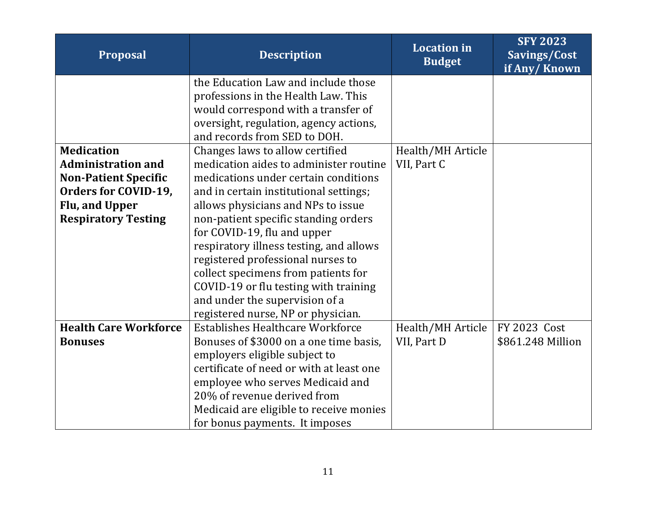| <b>Proposal</b>              | <b>Description</b>                       | <b>Location</b> in<br><b>Budget</b> | <b>SFY 2023</b><br>Savings/Cost<br>if Any/Known |
|------------------------------|------------------------------------------|-------------------------------------|-------------------------------------------------|
|                              | the Education Law and include those      |                                     |                                                 |
|                              | professions in the Health Law. This      |                                     |                                                 |
|                              | would correspond with a transfer of      |                                     |                                                 |
|                              | oversight, regulation, agency actions,   |                                     |                                                 |
|                              | and records from SED to DOH.             |                                     |                                                 |
| <b>Medication</b>            | Changes laws to allow certified          | Health/MH Article                   |                                                 |
| <b>Administration and</b>    | medication aides to administer routine   | VII, Part C                         |                                                 |
| <b>Non-Patient Specific</b>  | medications under certain conditions     |                                     |                                                 |
| Orders for COVID-19,         | and in certain institutional settings;   |                                     |                                                 |
| Flu, and Upper               | allows physicians and NPs to issue       |                                     |                                                 |
| <b>Respiratory Testing</b>   | non-patient specific standing orders     |                                     |                                                 |
|                              | for COVID-19, flu and upper              |                                     |                                                 |
|                              | respiratory illness testing, and allows  |                                     |                                                 |
|                              | registered professional nurses to        |                                     |                                                 |
|                              | collect specimens from patients for      |                                     |                                                 |
|                              | COVID-19 or flu testing with training    |                                     |                                                 |
|                              | and under the supervision of a           |                                     |                                                 |
|                              | registered nurse, NP or physician.       |                                     |                                                 |
| <b>Health Care Workforce</b> | <b>Establishes Healthcare Workforce</b>  | Health/MH Article                   | <b>FY 2023 Cost</b>                             |
| <b>Bonuses</b>               | Bonuses of \$3000 on a one time basis,   | VII, Part D                         | \$861.248 Million                               |
|                              | employers eligible subject to            |                                     |                                                 |
|                              | certificate of need or with at least one |                                     |                                                 |
|                              | employee who serves Medicaid and         |                                     |                                                 |
|                              | 20% of revenue derived from              |                                     |                                                 |
|                              | Medicaid are eligible to receive monies  |                                     |                                                 |
|                              | for bonus payments. It imposes           |                                     |                                                 |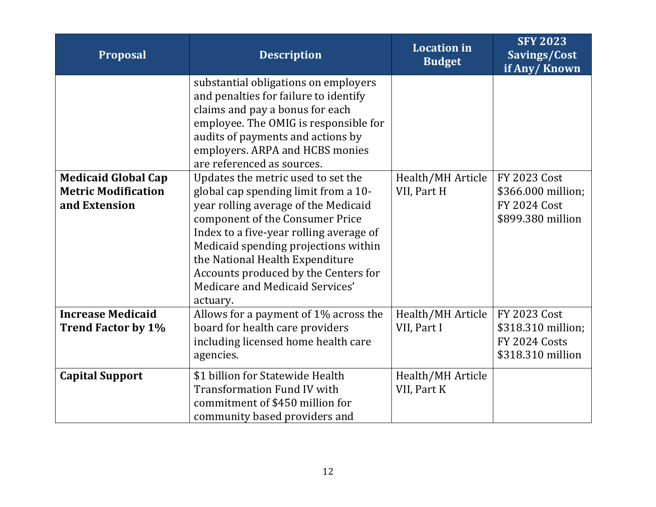| <b>Proposal</b>                                                           | <b>Description</b>                                                                                                                                                                                                                                                                                                                                                 | <b>Location</b> in<br><b>Budget</b> | <b>SFY 2023</b><br>Savings/Cost<br>if Any/Known                                       |
|---------------------------------------------------------------------------|--------------------------------------------------------------------------------------------------------------------------------------------------------------------------------------------------------------------------------------------------------------------------------------------------------------------------------------------------------------------|-------------------------------------|---------------------------------------------------------------------------------------|
|                                                                           | substantial obligations on employers<br>and penalties for failure to identify<br>claims and pay a bonus for each<br>employee. The OMIG is responsible for<br>audits of payments and actions by<br>employers. ARPA and HCBS monies<br>are referenced as sources.                                                                                                    |                                     |                                                                                       |
| <b>Medicaid Global Cap</b><br><b>Metric Modification</b><br>and Extension | Updates the metric used to set the<br>global cap spending limit from a 10-<br>year rolling average of the Medicaid<br>component of the Consumer Price<br>Index to a five-year rolling average of<br>Medicaid spending projections within<br>the National Health Expenditure<br>Accounts produced by the Centers for<br>Medicare and Medicaid Services'<br>actuary. | Health/MH Article<br>VII, Part H    | <b>FY 2023 Cost</b><br>\$366.000 million;<br><b>FY 2024 Cost</b><br>\$899.380 million |
| <b>Increase Medicaid</b><br><b>Trend Factor by 1%</b>                     | Allows for a payment of 1% across the<br>board for health care providers<br>including licensed home health care<br>agencies.                                                                                                                                                                                                                                       | Health/MH Article<br>VII, Part I    | <b>FY 2023 Cost</b><br>\$318.310 million;<br>FY 2024 Costs<br>\$318.310 million       |
| <b>Capital Support</b>                                                    | \$1 billion for Statewide Health<br><b>Transformation Fund IV with</b><br>commitment of \$450 million for<br>community based providers and                                                                                                                                                                                                                         | Health/MH Article<br>VII, Part K    |                                                                                       |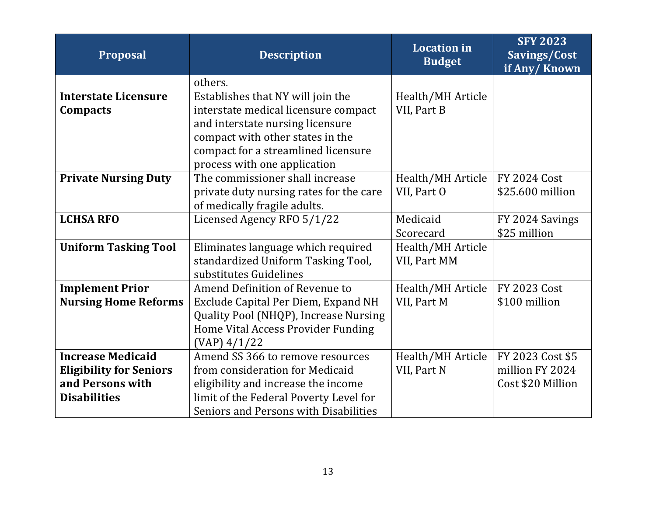| <b>Proposal</b>                | <b>Description</b>                      | <b>Location</b> in<br><b>Budget</b> | <b>SFY 2023</b><br>Savings/Cost<br>if Any/Known |
|--------------------------------|-----------------------------------------|-------------------------------------|-------------------------------------------------|
|                                | others.                                 |                                     |                                                 |
| <b>Interstate Licensure</b>    | Establishes that NY will join the       | Health/MH Article                   |                                                 |
| Compacts                       | interstate medical licensure compact    | VII, Part B                         |                                                 |
|                                | and interstate nursing licensure        |                                     |                                                 |
|                                | compact with other states in the        |                                     |                                                 |
|                                | compact for a streamlined licensure     |                                     |                                                 |
|                                | process with one application            |                                     |                                                 |
| <b>Private Nursing Duty</b>    | The commissioner shall increase         | Health/MH Article                   | <b>FY 2024 Cost</b>                             |
|                                | private duty nursing rates for the care | VII, Part O                         | \$25.600 million                                |
|                                | of medically fragile adults.            |                                     |                                                 |
| <b>LCHSA RFO</b>               | Licensed Agency RFO 5/1/22              | Medicaid                            | FY 2024 Savings                                 |
|                                |                                         | Scorecard                           | \$25 million                                    |
| <b>Uniform Tasking Tool</b>    | Eliminates language which required      | Health/MH Article                   |                                                 |
|                                | standardized Uniform Tasking Tool,      | VII, Part MM                        |                                                 |
|                                | substitutes Guidelines                  |                                     |                                                 |
| <b>Implement Prior</b>         | Amend Definition of Revenue to          | Health/MH Article                   | <b>FY 2023 Cost</b>                             |
| <b>Nursing Home Reforms</b>    | Exclude Capital Per Diem, Expand NH     | VII, Part M                         | \$100 million                                   |
|                                | Quality Pool (NHQP), Increase Nursing   |                                     |                                                 |
|                                | Home Vital Access Provider Funding      |                                     |                                                 |
|                                | $(VAP)$ 4/1/22                          |                                     |                                                 |
| <b>Increase Medicaid</b>       | Amend SS 366 to remove resources        | Health/MH Article                   | FY 2023 Cost \$5                                |
| <b>Eligibility for Seniors</b> | from consideration for Medicaid         | VII, Part N                         | million FY 2024                                 |
| and Persons with               | eligibility and increase the income     |                                     | Cost \$20 Million                               |
| <b>Disabilities</b>            | limit of the Federal Poverty Level for  |                                     |                                                 |
|                                | Seniors and Persons with Disabilities   |                                     |                                                 |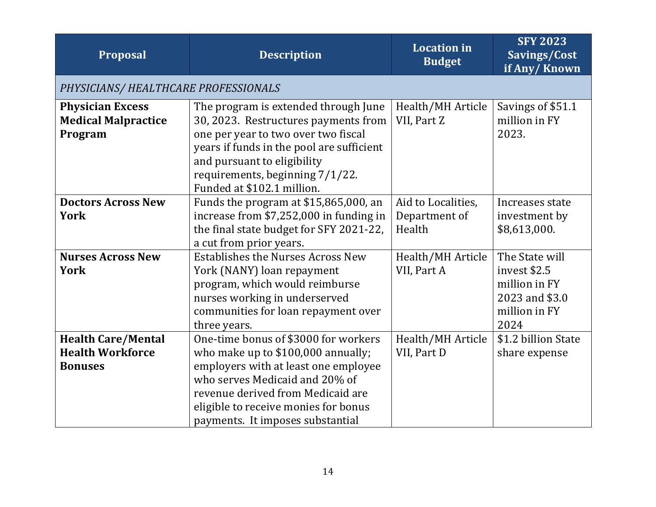| Proposal                                                               | <b>Description</b>                                                                                                                                                                                                                                                    | <b>Location</b> in<br><b>Budget</b>           | <b>SFY 2023</b><br>Savings/Cost<br>if Any/Known                                            |
|------------------------------------------------------------------------|-----------------------------------------------------------------------------------------------------------------------------------------------------------------------------------------------------------------------------------------------------------------------|-----------------------------------------------|--------------------------------------------------------------------------------------------|
| PHYSICIANS/ HEALTHCARE PROFESSIONALS                                   |                                                                                                                                                                                                                                                                       |                                               |                                                                                            |
| <b>Physician Excess</b><br><b>Medical Malpractice</b><br>Program       | The program is extended through June<br>30, 2023. Restructures payments from<br>one per year to two over two fiscal<br>years if funds in the pool are sufficient<br>and pursuant to eligibility<br>requirements, beginning 7/1/22.<br>Funded at \$102.1 million.      | Health/MH Article<br>VII, Part Z              | Savings of \$51.1<br>million in FY<br>2023.                                                |
| <b>Doctors Across New</b><br><b>York</b>                               | Funds the program at \$15,865,000, an<br>increase from \$7,252,000 in funding in<br>the final state budget for SFY 2021-22,<br>a cut from prior years.                                                                                                                | Aid to Localities,<br>Department of<br>Health | Increases state<br>investment by<br>\$8,613,000.                                           |
| <b>Nurses Across New</b><br><b>York</b>                                | <b>Establishes the Nurses Across New</b><br>York (NANY) loan repayment<br>program, which would reimburse<br>nurses working in underserved<br>communities for loan repayment over<br>three years.                                                                      | Health/MH Article<br>VII, Part A              | The State will<br>invest \$2.5<br>million in FY<br>2023 and \$3.0<br>million in FY<br>2024 |
| <b>Health Care/Mental</b><br><b>Health Workforce</b><br><b>Bonuses</b> | One-time bonus of \$3000 for workers<br>who make up to \$100,000 annually;<br>employers with at least one employee<br>who serves Medicaid and 20% of<br>revenue derived from Medicaid are<br>eligible to receive monies for bonus<br>payments. It imposes substantial | Health/MH Article<br>VII, Part D              | \$1.2 billion State<br>share expense                                                       |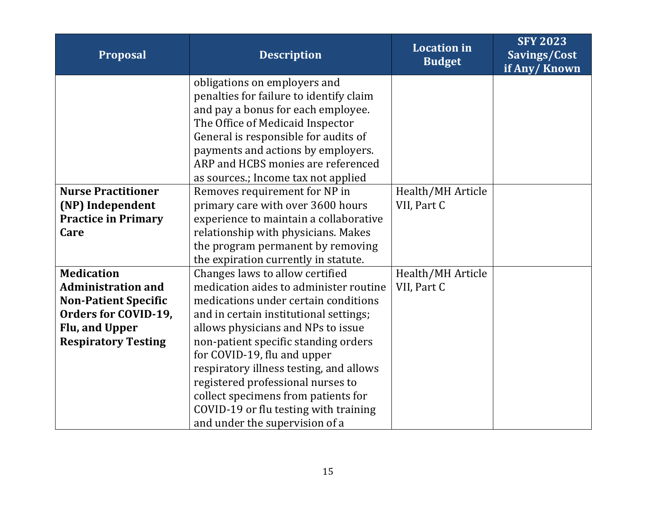| <b>Proposal</b>             | <b>Description</b>                      | <b>Location</b> in<br><b>Budget</b> | <b>SFY 2023</b><br>Savings/Cost<br>if Any/Known |
|-----------------------------|-----------------------------------------|-------------------------------------|-------------------------------------------------|
|                             | obligations on employers and            |                                     |                                                 |
|                             | penalties for failure to identify claim |                                     |                                                 |
|                             | and pay a bonus for each employee.      |                                     |                                                 |
|                             | The Office of Medicaid Inspector        |                                     |                                                 |
|                             | General is responsible for audits of    |                                     |                                                 |
|                             | payments and actions by employers.      |                                     |                                                 |
|                             | ARP and HCBS monies are referenced      |                                     |                                                 |
|                             | as sources.; Income tax not applied     |                                     |                                                 |
| <b>Nurse Practitioner</b>   | Removes requirement for NP in           | Health/MH Article                   |                                                 |
| (NP) Independent            | primary care with over 3600 hours       | VII, Part C                         |                                                 |
| <b>Practice in Primary</b>  | experience to maintain a collaborative  |                                     |                                                 |
| Care                        | relationship with physicians. Makes     |                                     |                                                 |
|                             | the program permanent by removing       |                                     |                                                 |
|                             | the expiration currently in statute.    |                                     |                                                 |
| <b>Medication</b>           | Changes laws to allow certified         | Health/MH Article                   |                                                 |
| <b>Administration and</b>   | medication aides to administer routine  | VII, Part C                         |                                                 |
| <b>Non-Patient Specific</b> | medications under certain conditions    |                                     |                                                 |
| Orders for COVID-19,        | and in certain institutional settings;  |                                     |                                                 |
| Flu, and Upper              | allows physicians and NPs to issue      |                                     |                                                 |
| <b>Respiratory Testing</b>  | non-patient specific standing orders    |                                     |                                                 |
|                             | for COVID-19, flu and upper             |                                     |                                                 |
|                             | respiratory illness testing, and allows |                                     |                                                 |
|                             | registered professional nurses to       |                                     |                                                 |
|                             | collect specimens from patients for     |                                     |                                                 |
|                             | COVID-19 or flu testing with training   |                                     |                                                 |
|                             | and under the supervision of a          |                                     |                                                 |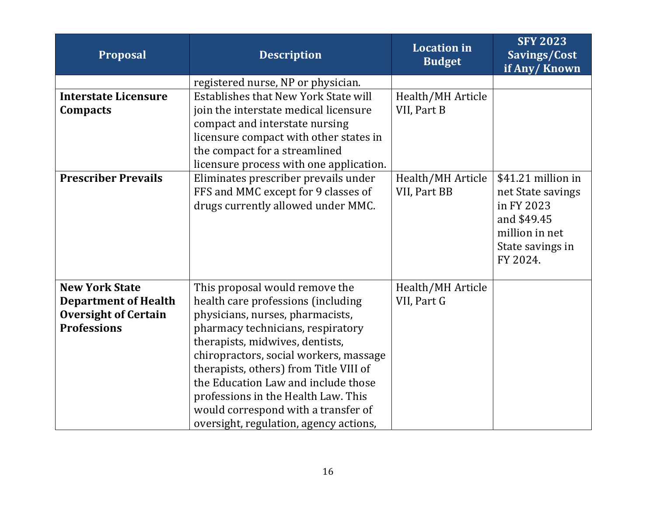| <b>Proposal</b>             | <b>Description</b>                      | <b>Location in</b><br><b>Budget</b> | <b>SFY 2023</b><br>Savings/Cost<br>if Any/Known |
|-----------------------------|-----------------------------------------|-------------------------------------|-------------------------------------------------|
|                             | registered nurse, NP or physician.      |                                     |                                                 |
| <b>Interstate Licensure</b> | Establishes that New York State will    | Health/MH Article                   |                                                 |
| Compacts                    | join the interstate medical licensure   | VII, Part B                         |                                                 |
|                             | compact and interstate nursing          |                                     |                                                 |
|                             | licensure compact with other states in  |                                     |                                                 |
|                             | the compact for a streamlined           |                                     |                                                 |
|                             | licensure process with one application. |                                     |                                                 |
| <b>Prescriber Prevails</b>  | Eliminates prescriber prevails under    | Health/MH Article                   | \$41.21 million in                              |
|                             | FFS and MMC except for 9 classes of     | VII, Part BB                        | net State savings                               |
|                             | drugs currently allowed under MMC.      |                                     | in FY 2023                                      |
|                             |                                         |                                     | and \$49.45                                     |
|                             |                                         |                                     | million in net                                  |
|                             |                                         |                                     | State savings in                                |
|                             |                                         |                                     | FY 2024.                                        |
| <b>New York State</b>       | This proposal would remove the          | Health/MH Article                   |                                                 |
| <b>Department of Health</b> | health care professions (including      | VII, Part G                         |                                                 |
| <b>Oversight of Certain</b> | physicians, nurses, pharmacists,        |                                     |                                                 |
| <b>Professions</b>          | pharmacy technicians, respiratory       |                                     |                                                 |
|                             | therapists, midwives, dentists,         |                                     |                                                 |
|                             | chiropractors, social workers, massage  |                                     |                                                 |
|                             | therapists, others) from Title VIII of  |                                     |                                                 |
|                             | the Education Law and include those     |                                     |                                                 |
|                             | professions in the Health Law. This     |                                     |                                                 |
|                             | would correspond with a transfer of     |                                     |                                                 |
|                             | oversight, regulation, agency actions,  |                                     |                                                 |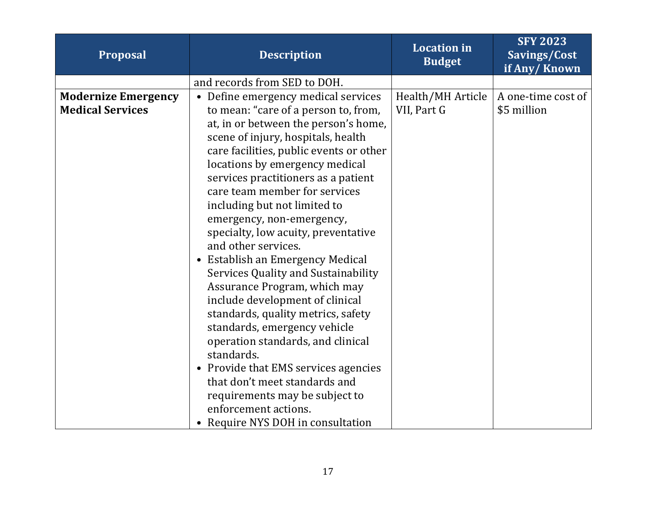| Proposal                   | <b>Description</b>                                         | <b>Location</b> in<br><b>Budget</b> | <b>SFY 2023</b><br>Savings/Cost<br>if Any/Known |
|----------------------------|------------------------------------------------------------|-------------------------------------|-------------------------------------------------|
|                            | and records from SED to DOH.                               |                                     |                                                 |
| <b>Modernize Emergency</b> | • Define emergency medical services                        | Health/MH Article                   | A one-time cost of                              |
| <b>Medical Services</b>    | to mean: "care of a person to, from,                       | VII, Part G                         | \$5 million                                     |
|                            | at, in or between the person's home,                       |                                     |                                                 |
|                            | scene of injury, hospitals, health                         |                                     |                                                 |
|                            | care facilities, public events or other                    |                                     |                                                 |
|                            | locations by emergency medical                             |                                     |                                                 |
|                            | services practitioners as a patient                        |                                     |                                                 |
|                            | care team member for services                              |                                     |                                                 |
|                            | including but not limited to                               |                                     |                                                 |
|                            | emergency, non-emergency,                                  |                                     |                                                 |
|                            | specialty, low acuity, preventative<br>and other services. |                                     |                                                 |
|                            | • Establish an Emergency Medical                           |                                     |                                                 |
|                            | Services Quality and Sustainability                        |                                     |                                                 |
|                            | Assurance Program, which may                               |                                     |                                                 |
|                            | include development of clinical                            |                                     |                                                 |
|                            | standards, quality metrics, safety                         |                                     |                                                 |
|                            | standards, emergency vehicle                               |                                     |                                                 |
|                            | operation standards, and clinical                          |                                     |                                                 |
|                            | standards.                                                 |                                     |                                                 |
|                            | • Provide that EMS services agencies                       |                                     |                                                 |
|                            | that don't meet standards and                              |                                     |                                                 |
|                            | requirements may be subject to                             |                                     |                                                 |
|                            | enforcement actions.                                       |                                     |                                                 |
|                            | Require NYS DOH in consultation                            |                                     |                                                 |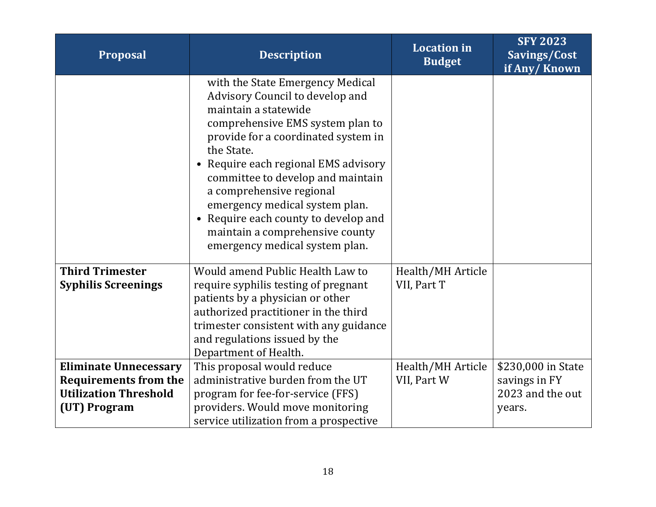| <b>Proposal</b>                                                                                              | <b>Description</b>                                                                                                                                                                                                                                                                                                                                                                                                                           | <b>Location</b> in<br><b>Budget</b> | <b>SFY 2023</b><br>Savings/Cost<br>if Any/Known                   |
|--------------------------------------------------------------------------------------------------------------|----------------------------------------------------------------------------------------------------------------------------------------------------------------------------------------------------------------------------------------------------------------------------------------------------------------------------------------------------------------------------------------------------------------------------------------------|-------------------------------------|-------------------------------------------------------------------|
|                                                                                                              | with the State Emergency Medical<br>Advisory Council to develop and<br>maintain a statewide<br>comprehensive EMS system plan to<br>provide for a coordinated system in<br>the State.<br>• Require each regional EMS advisory<br>committee to develop and maintain<br>a comprehensive regional<br>emergency medical system plan.<br>• Require each county to develop and<br>maintain a comprehensive county<br>emergency medical system plan. |                                     |                                                                   |
| <b>Third Trimester</b><br><b>Syphilis Screenings</b>                                                         | Would amend Public Health Law to<br>require syphilis testing of pregnant<br>patients by a physician or other<br>authorized practitioner in the third<br>trimester consistent with any guidance<br>and regulations issued by the<br>Department of Health.                                                                                                                                                                                     | Health/MH Article<br>VII, Part T    |                                                                   |
| <b>Eliminate Unnecessary</b><br><b>Requirements from the</b><br><b>Utilization Threshold</b><br>(UT) Program | This proposal would reduce<br>administrative burden from the UT<br>program for fee-for-service (FFS)<br>providers. Would move monitoring<br>service utilization from a prospective                                                                                                                                                                                                                                                           | Health/MH Article<br>VII, Part W    | \$230,000 in State<br>savings in FY<br>2023 and the out<br>years. |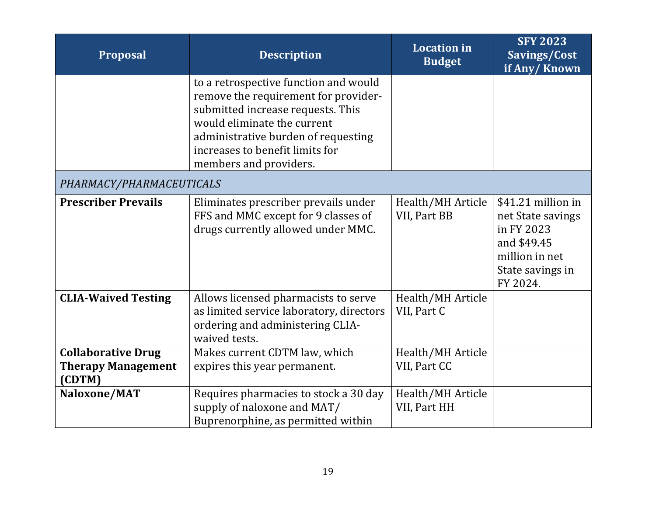| <b>Proposal</b>                                                  | <b>Description</b>                                                                                                                                                                                                                                    | <b>Location</b> in<br><b>Budget</b> | <b>SFY 2023</b><br>Savings/Cost<br>if Any/Known                                                                        |
|------------------------------------------------------------------|-------------------------------------------------------------------------------------------------------------------------------------------------------------------------------------------------------------------------------------------------------|-------------------------------------|------------------------------------------------------------------------------------------------------------------------|
|                                                                  | to a retrospective function and would<br>remove the requirement for provider-<br>submitted increase requests. This<br>would eliminate the current<br>administrative burden of requesting<br>increases to benefit limits for<br>members and providers. |                                     |                                                                                                                        |
| PHARMACY/PHARMACEUTICALS                                         |                                                                                                                                                                                                                                                       |                                     |                                                                                                                        |
| <b>Prescriber Prevails</b>                                       | Eliminates prescriber prevails under<br>FFS and MMC except for 9 classes of<br>drugs currently allowed under MMC.                                                                                                                                     | Health/MH Article<br>VII, Part BB   | \$41.21 million in<br>net State savings<br>in FY 2023<br>and \$49.45<br>million in net<br>State savings in<br>FY 2024. |
| <b>CLIA-Waived Testing</b>                                       | Allows licensed pharmacists to serve<br>as limited service laboratory, directors<br>ordering and administering CLIA-<br>waived tests.                                                                                                                 | Health/MH Article<br>VII, Part C    |                                                                                                                        |
| <b>Collaborative Drug</b><br><b>Therapy Management</b><br>(CDTM) | Makes current CDTM law, which<br>expires this year permanent.                                                                                                                                                                                         | Health/MH Article<br>VII, Part CC   |                                                                                                                        |
| Naloxone/MAT                                                     | Requires pharmacies to stock a 30 day<br>supply of naloxone and MAT/<br>Buprenorphine, as permitted within                                                                                                                                            | Health/MH Article<br>VII, Part HH   |                                                                                                                        |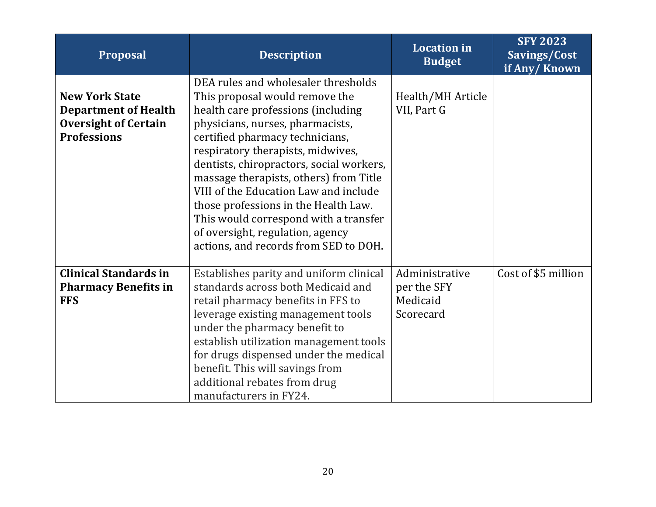| <b>Proposal</b>              | <b>Description</b>                       | <b>Location</b> in<br><b>Budget</b> | <b>SFY 2023</b><br>Savings/Cost<br>if Any/Known |
|------------------------------|------------------------------------------|-------------------------------------|-------------------------------------------------|
|                              | DEA rules and wholesaler thresholds      |                                     |                                                 |
| <b>New York State</b>        | This proposal would remove the           | Health/MH Article                   |                                                 |
| <b>Department of Health</b>  | health care professions (including       | VII, Part G                         |                                                 |
| <b>Oversight of Certain</b>  | physicians, nurses, pharmacists,         |                                     |                                                 |
| <b>Professions</b>           | certified pharmacy technicians,          |                                     |                                                 |
|                              | respiratory therapists, midwives,        |                                     |                                                 |
|                              | dentists, chiropractors, social workers, |                                     |                                                 |
|                              | massage therapists, others) from Title   |                                     |                                                 |
|                              | VIII of the Education Law and include    |                                     |                                                 |
|                              | those professions in the Health Law.     |                                     |                                                 |
|                              | This would correspond with a transfer    |                                     |                                                 |
|                              | of oversight, regulation, agency         |                                     |                                                 |
|                              | actions, and records from SED to DOH.    |                                     |                                                 |
| <b>Clinical Standards in</b> | Establishes parity and uniform clinical  | Administrative                      | Cost of \$5 million                             |
| <b>Pharmacy Benefits in</b>  | standards across both Medicaid and       | per the SFY                         |                                                 |
| <b>FFS</b>                   | retail pharmacy benefits in FFS to       | Medicaid                            |                                                 |
|                              | leverage existing management tools       | Scorecard                           |                                                 |
|                              | under the pharmacy benefit to            |                                     |                                                 |
|                              | establish utilization management tools   |                                     |                                                 |
|                              | for drugs dispensed under the medical    |                                     |                                                 |
|                              | benefit. This will savings from          |                                     |                                                 |
|                              | additional rebates from drug             |                                     |                                                 |
|                              | manufacturers in FY24.                   |                                     |                                                 |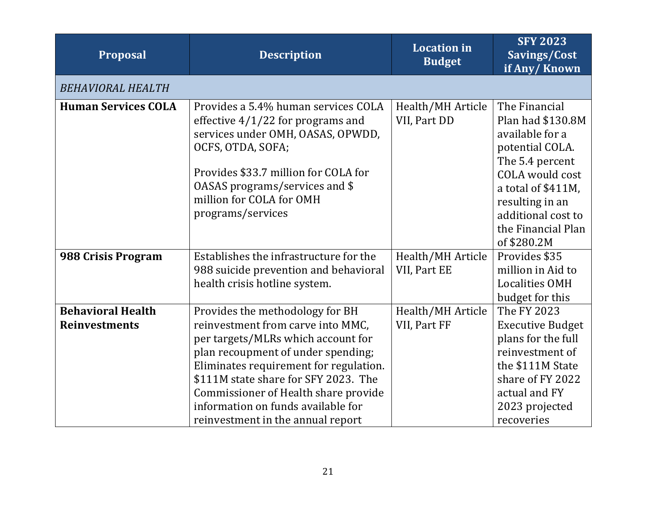| <b>Proposal</b>                                  | <b>Description</b>                                                                                                                                                                                                                                                                                                                                    | <b>Location in</b><br><b>Budget</b> | <b>SFY 2023</b><br>Savings/Cost<br>if Any/Known                                                                                                                                                                           |
|--------------------------------------------------|-------------------------------------------------------------------------------------------------------------------------------------------------------------------------------------------------------------------------------------------------------------------------------------------------------------------------------------------------------|-------------------------------------|---------------------------------------------------------------------------------------------------------------------------------------------------------------------------------------------------------------------------|
| <b>BEHAVIORAL HEALTH</b>                         |                                                                                                                                                                                                                                                                                                                                                       |                                     |                                                                                                                                                                                                                           |
| <b>Human Services COLA</b>                       | Provides a 5.4% human services COLA<br>effective $4/1/22$ for programs and<br>services under OMH, OASAS, OPWDD,<br>OCFS, OTDA, SOFA;<br>Provides \$33.7 million for COLA for<br>0ASAS programs/services and \$<br>million for COLA for OMH<br>programs/services                                                                                       | Health/MH Article<br>VII, Part DD   | The Financial<br>Plan had \$130.8M<br>available for a<br>potential COLA.<br>The 5.4 percent<br><b>COLA</b> would cost<br>a total of \$411M,<br>resulting in an<br>additional cost to<br>the Financial Plan<br>of \$280.2M |
| 988 Crisis Program                               | Establishes the infrastructure for the<br>988 suicide prevention and behavioral<br>health crisis hotline system.                                                                                                                                                                                                                                      | Health/MH Article<br>VII, Part EE   | Provides \$35<br>million in Aid to<br><b>Localities OMH</b><br>budget for this                                                                                                                                            |
| <b>Behavioral Health</b><br><b>Reinvestments</b> | Provides the methodology for BH<br>reinvestment from carve into MMC,<br>per targets/MLRs which account for<br>plan recoupment of under spending;<br>Eliminates requirement for regulation.<br>\$111M state share for SFY 2023. The<br>Commissioner of Health share provide<br>information on funds available for<br>reinvestment in the annual report | Health/MH Article<br>VII, Part FF   | The FY 2023<br><b>Executive Budget</b><br>plans for the full<br>reinvestment of<br>the \$111M State<br>share of FY 2022<br>actual and FY<br>2023 projected<br>recoveries                                                  |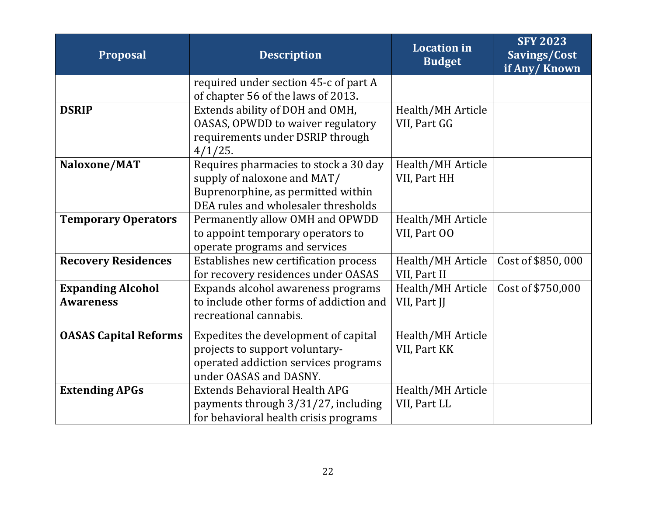| <b>Proposal</b>                              | <b>Description</b>                                                                                                                                | <b>Location</b> in<br><b>Budget</b> | <b>SFY 2023</b><br>Savings/Cost<br>if Any/Known |
|----------------------------------------------|---------------------------------------------------------------------------------------------------------------------------------------------------|-------------------------------------|-------------------------------------------------|
|                                              | required under section 45-c of part A<br>of chapter 56 of the laws of 2013.                                                                       |                                     |                                                 |
| <b>DSRIP</b>                                 | Extends ability of DOH and OMH,<br><b>OASAS, OPWDD to waiver regulatory</b><br>requirements under DSRIP through<br>$4/1/25$ .                     | Health/MH Article<br>VII, Part GG   |                                                 |
| Naloxone/MAT                                 | Requires pharmacies to stock a 30 day<br>supply of naloxone and MAT/<br>Buprenorphine, as permitted within<br>DEA rules and wholesaler thresholds | Health/MH Article<br>VII, Part HH   |                                                 |
| <b>Temporary Operators</b>                   | Permanently allow OMH and OPWDD<br>to appoint temporary operators to<br>operate programs and services                                             | Health/MH Article<br>VII, Part 00   |                                                 |
| <b>Recovery Residences</b>                   | Establishes new certification process<br>for recovery residences under OASAS                                                                      | Health/MH Article<br>VII, Part II   | Cost of \$850,000                               |
| <b>Expanding Alcohol</b><br><b>Awareness</b> | Expands alcohol awareness programs<br>to include other forms of addiction and<br>recreational cannabis.                                           | Health/MH Article<br>VII, Part JJ   | Cost of \$750,000                               |
| <b>OASAS Capital Reforms</b>                 | Expedites the development of capital<br>projects to support voluntary-<br>operated addiction services programs<br>under OASAS and DASNY.          | Health/MH Article<br>VII, Part KK   |                                                 |
| <b>Extending APGs</b>                        | <b>Extends Behavioral Health APG</b><br>payments through 3/31/27, including<br>for behavioral health crisis programs                              | Health/MH Article<br>VII, Part LL   |                                                 |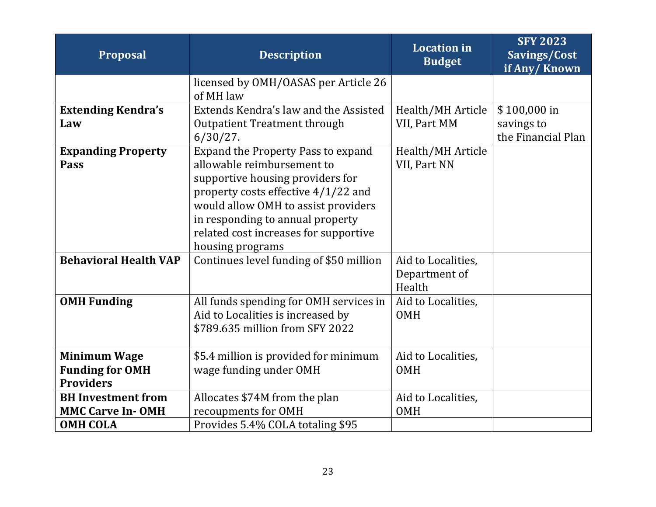| <b>Proposal</b>                                                   | <b>Description</b>                                                                                                                                                                                                                                                                  | <b>Location</b> in<br><b>Budget</b>           | <b>SFY 2023</b><br>Savings/Cost<br>if Any/Known |
|-------------------------------------------------------------------|-------------------------------------------------------------------------------------------------------------------------------------------------------------------------------------------------------------------------------------------------------------------------------------|-----------------------------------------------|-------------------------------------------------|
|                                                                   | licensed by OMH/OASAS per Article 26<br>of MH law                                                                                                                                                                                                                                   |                                               |                                                 |
| <b>Extending Kendra's</b><br>Law                                  | Extends Kendra's law and the Assisted<br><b>Outpatient Treatment through</b>                                                                                                                                                                                                        | Health/MH Article<br>VII, Part MM             | \$100,000 in<br>savings to                      |
|                                                                   | $6/30/27$ .                                                                                                                                                                                                                                                                         |                                               | the Financial Plan                              |
| <b>Expanding Property</b><br>Pass                                 | Expand the Property Pass to expand<br>allowable reimbursement to<br>supportive housing providers for<br>property costs effective 4/1/22 and<br>would allow OMH to assist providers<br>in responding to annual property<br>related cost increases for supportive<br>housing programs | Health/MH Article<br>VII, Part NN             |                                                 |
| <b>Behavioral Health VAP</b>                                      | Continues level funding of \$50 million                                                                                                                                                                                                                                             | Aid to Localities,<br>Department of<br>Health |                                                 |
| <b>OMH Funding</b>                                                | All funds spending for OMH services in<br>Aid to Localities is increased by<br>\$789.635 million from SFY 2022                                                                                                                                                                      | Aid to Localities,<br><b>OMH</b>              |                                                 |
| <b>Minimum Wage</b><br><b>Funding for OMH</b><br><b>Providers</b> | \$5.4 million is provided for minimum<br>wage funding under OMH                                                                                                                                                                                                                     | Aid to Localities,<br><b>OMH</b>              |                                                 |
| <b>BH</b> Investment from<br><b>MMC Carve In-OMH</b>              | Allocates \$74M from the plan<br>recoupments for OMH                                                                                                                                                                                                                                | Aid to Localities,<br><b>OMH</b>              |                                                 |
| <b>OMH COLA</b>                                                   | Provides 5.4% COLA totaling \$95                                                                                                                                                                                                                                                    |                                               |                                                 |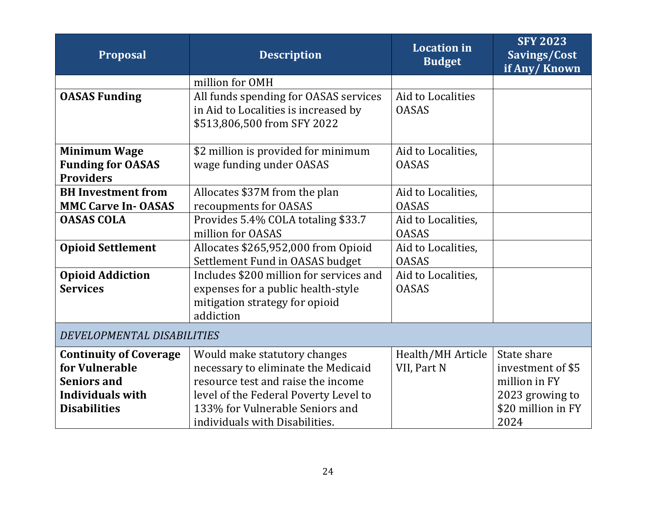| <b>Proposal</b>                              | <b>Description</b>                      | <b>Location</b> in<br><b>Budget</b> | <b>SFY 2023</b><br>Savings/Cost<br>if Any/Known |
|----------------------------------------------|-----------------------------------------|-------------------------------------|-------------------------------------------------|
|                                              | million for OMH                         |                                     |                                                 |
| <b>OASAS Funding</b>                         | All funds spending for OASAS services   | Aid to Localities                   |                                                 |
|                                              | in Aid to Localities is increased by    | <b>OASAS</b>                        |                                                 |
|                                              | \$513,806,500 from SFY 2022             |                                     |                                                 |
|                                              |                                         |                                     |                                                 |
| <b>Minimum Wage</b>                          | \$2 million is provided for minimum     | Aid to Localities,<br><b>OASAS</b>  |                                                 |
| <b>Funding for OASAS</b><br><b>Providers</b> | wage funding under OASAS                |                                     |                                                 |
| <b>BH</b> Investment from                    | Allocates \$37M from the plan           | Aid to Localities,                  |                                                 |
| <b>MMC Carve In-OASAS</b>                    | recoupments for OASAS                   | <b>OASAS</b>                        |                                                 |
| <b>OASAS COLA</b>                            | Provides 5.4% COLA totaling \$33.7      | Aid to Localities,                  |                                                 |
|                                              | million for OASAS                       | <b>OASAS</b>                        |                                                 |
| <b>Opioid Settlement</b>                     | Allocates \$265,952,000 from Opioid     | Aid to Localities,                  |                                                 |
|                                              | Settlement Fund in OASAS budget         | <b>OASAS</b>                        |                                                 |
| <b>Opioid Addiction</b>                      | Includes \$200 million for services and | Aid to Localities,                  |                                                 |
| <b>Services</b>                              | expenses for a public health-style      | <b>OASAS</b>                        |                                                 |
|                                              | mitigation strategy for opioid          |                                     |                                                 |
|                                              | addiction                               |                                     |                                                 |
| DEVELOPMENTAL DISABILITIES                   |                                         |                                     |                                                 |
| <b>Continuity of Coverage</b>                | Would make statutory changes            | Health/MH Article                   | State share                                     |
| for Vulnerable                               | necessary to eliminate the Medicaid     | VII, Part N                         | investment of \$5                               |
| <b>Seniors and</b>                           | resource test and raise the income      |                                     | million in FY                                   |
| <b>Individuals with</b>                      | level of the Federal Poverty Level to   |                                     | 2023 growing to                                 |
| <b>Disabilities</b>                          | 133% for Vulnerable Seniors and         |                                     | \$20 million in FY                              |
|                                              | individuals with Disabilities.          |                                     | 2024                                            |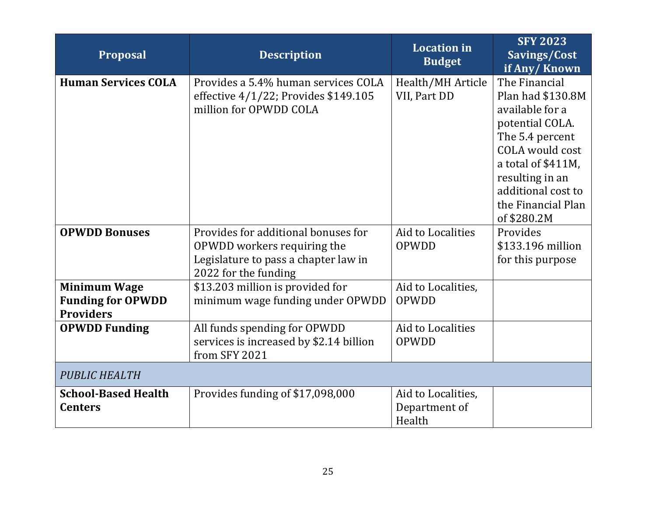| <b>Proposal</b>                                                     | <b>Description</b>                                                                                                                 | <b>Location</b> in<br><b>Budget</b>           | <b>SFY 2023</b><br>Savings/Cost<br>if Any/Known                                                                                                                                                                    |
|---------------------------------------------------------------------|------------------------------------------------------------------------------------------------------------------------------------|-----------------------------------------------|--------------------------------------------------------------------------------------------------------------------------------------------------------------------------------------------------------------------|
| <b>Human Services COLA</b>                                          | Provides a 5.4% human services COLA<br>effective 4/1/22; Provides \$149.105<br>million for OPWDD COLA                              | Health/MH Article<br>VII, Part DD             | The Financial<br>Plan had \$130.8M<br>available for a<br>potential COLA.<br>The 5.4 percent<br>COLA would cost<br>a total of \$411M,<br>resulting in an<br>additional cost to<br>the Financial Plan<br>of \$280.2M |
| <b>OPWDD Bonuses</b>                                                | Provides for additional bonuses for<br>OPWDD workers requiring the<br>Legislature to pass a chapter law in<br>2022 for the funding | Aid to Localities<br>OPWDD                    | Provides<br>\$133.196 million<br>for this purpose                                                                                                                                                                  |
| <b>Minimum Wage</b><br><b>Funding for OPWDD</b><br><b>Providers</b> | \$13.203 million is provided for<br>minimum wage funding under OPWDD                                                               | Aid to Localities,<br>OPWDD                   |                                                                                                                                                                                                                    |
| <b>OPWDD Funding</b>                                                | All funds spending for OPWDD<br>services is increased by \$2.14 billion<br>from SFY 2021                                           | Aid to Localities<br>OPWDD                    |                                                                                                                                                                                                                    |
| <b>PUBLIC HEALTH</b>                                                |                                                                                                                                    |                                               |                                                                                                                                                                                                                    |
| <b>School-Based Health</b><br><b>Centers</b>                        | Provides funding of \$17,098,000                                                                                                   | Aid to Localities,<br>Department of<br>Health |                                                                                                                                                                                                                    |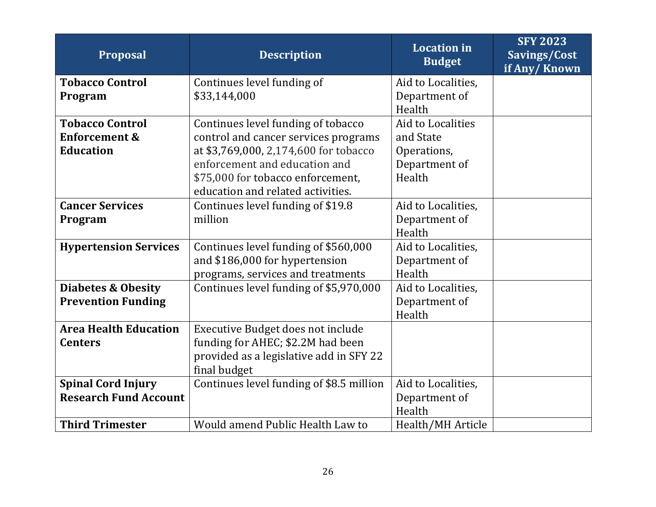| <b>Proposal</b>               | <b>Description</b>                       | <b>Location</b> in<br><b>Budget</b> | <b>SFY 2023</b><br>Savings/Cost<br>if Any/Known |
|-------------------------------|------------------------------------------|-------------------------------------|-------------------------------------------------|
| <b>Tobacco Control</b>        | Continues level funding of               | Aid to Localities,                  |                                                 |
| Program                       | \$33,144,000                             | Department of                       |                                                 |
|                               |                                          | Health                              |                                                 |
| <b>Tobacco Control</b>        | Continues level funding of tobacco       | Aid to Localities                   |                                                 |
| <b>Enforcement &amp;</b>      | control and cancer services programs     | and State                           |                                                 |
| <b>Education</b>              | at \$3,769,000, 2,174,600 for tobacco    | Operations,                         |                                                 |
|                               | enforcement and education and            | Department of                       |                                                 |
|                               | \$75,000 for tobacco enforcement,        | Health                              |                                                 |
|                               | education and related activities.        |                                     |                                                 |
| <b>Cancer Services</b>        | Continues level funding of \$19.8        | Aid to Localities,                  |                                                 |
| Program                       | million                                  | Department of                       |                                                 |
|                               |                                          | Health                              |                                                 |
| <b>Hypertension Services</b>  | Continues level funding of \$560,000     | Aid to Localities,                  |                                                 |
|                               | and \$186,000 for hypertension           | Department of                       |                                                 |
|                               | programs, services and treatments        | Health                              |                                                 |
| <b>Diabetes &amp; Obesity</b> | Continues level funding of \$5,970,000   | Aid to Localities,                  |                                                 |
| <b>Prevention Funding</b>     |                                          | Department of                       |                                                 |
|                               |                                          | Health                              |                                                 |
| <b>Area Health Education</b>  | Executive Budget does not include        |                                     |                                                 |
| <b>Centers</b>                | funding for AHEC; \$2.2M had been        |                                     |                                                 |
|                               | provided as a legislative add in SFY 22  |                                     |                                                 |
|                               | final budget                             |                                     |                                                 |
| <b>Spinal Cord Injury</b>     | Continues level funding of \$8.5 million | Aid to Localities,                  |                                                 |
| <b>Research Fund Account</b>  |                                          | Department of                       |                                                 |
|                               |                                          | Health                              |                                                 |
| <b>Third Trimester</b>        | Would amend Public Health Law to         | Health/MH Article                   |                                                 |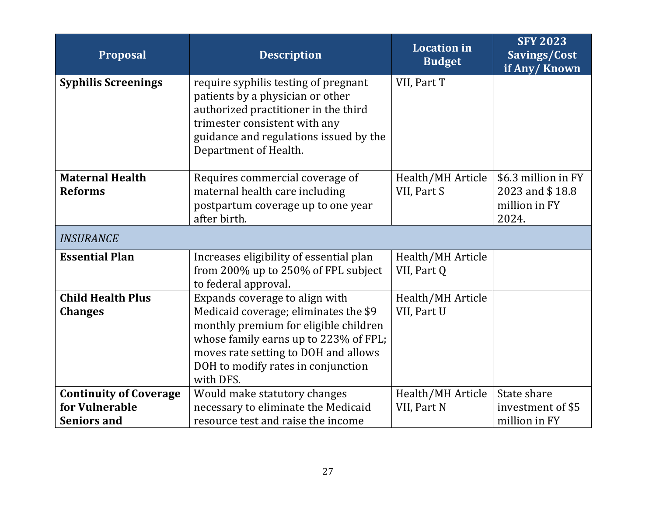| <b>Proposal</b>                                                       | <b>Description</b>                                                                                                                                                                                                                                   | <b>Location</b> in<br><b>Budget</b> | <b>SFY 2023</b><br>Savings/Cost<br>if Any/Known                  |
|-----------------------------------------------------------------------|------------------------------------------------------------------------------------------------------------------------------------------------------------------------------------------------------------------------------------------------------|-------------------------------------|------------------------------------------------------------------|
| <b>Syphilis Screenings</b>                                            | require syphilis testing of pregnant<br>patients by a physician or other<br>authorized practitioner in the third<br>trimester consistent with any<br>guidance and regulations issued by the<br>Department of Health.                                 | VII, Part T                         |                                                                  |
| <b>Maternal Health</b><br><b>Reforms</b>                              | Requires commercial coverage of<br>maternal health care including<br>postpartum coverage up to one year<br>after birth.                                                                                                                              | Health/MH Article<br>VII, Part S    | \$6.3 million in FY<br>2023 and \$18.8<br>million in FY<br>2024. |
| <b>INSURANCE</b>                                                      |                                                                                                                                                                                                                                                      |                                     |                                                                  |
| <b>Essential Plan</b>                                                 | Increases eligibility of essential plan<br>from 200% up to 250% of FPL subject<br>to federal approval.                                                                                                                                               | Health/MH Article<br>VII, Part Q    |                                                                  |
| <b>Child Health Plus</b><br><b>Changes</b>                            | Expands coverage to align with<br>Medicaid coverage; eliminates the \$9<br>monthly premium for eligible children<br>whose family earns up to 223% of FPL;<br>moves rate setting to DOH and allows<br>DOH to modify rates in conjunction<br>with DFS. | Health/MH Article<br>VII, Part U    |                                                                  |
| <b>Continuity of Coverage</b><br>for Vulnerable<br><b>Seniors and</b> | Would make statutory changes<br>necessary to eliminate the Medicaid<br>resource test and raise the income                                                                                                                                            | Health/MH Article<br>VII, Part N    | State share<br>investment of \$5<br>million in FY                |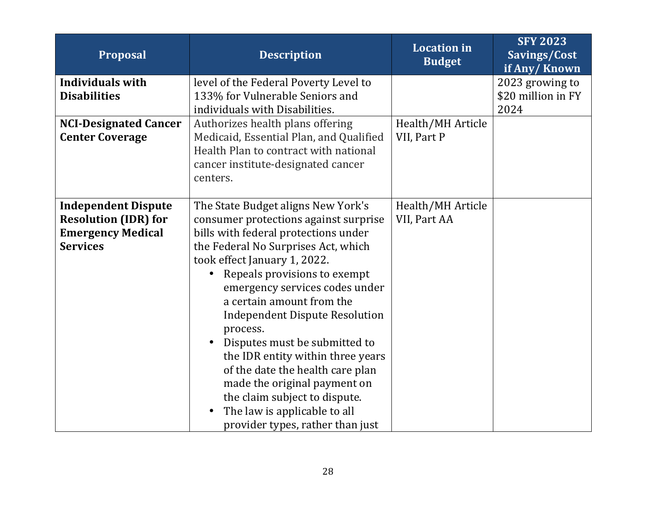| Proposal                     | <b>Description</b>                        | <b>Location</b> in<br><b>Budget</b> | <b>SFY 2023</b><br>Savings/Cost<br>if Any/Known |
|------------------------------|-------------------------------------------|-------------------------------------|-------------------------------------------------|
| <b>Individuals with</b>      | level of the Federal Poverty Level to     |                                     | 2023 growing to                                 |
| <b>Disabilities</b>          | 133% for Vulnerable Seniors and           |                                     | \$20 million in FY                              |
|                              | individuals with Disabilities.            |                                     | 2024                                            |
| <b>NCI-Designated Cancer</b> | Authorizes health plans offering          | Health/MH Article                   |                                                 |
| <b>Center Coverage</b>       | Medicaid, Essential Plan, and Qualified   | VII, Part P                         |                                                 |
|                              | Health Plan to contract with national     |                                     |                                                 |
|                              | cancer institute-designated cancer        |                                     |                                                 |
|                              | centers.                                  |                                     |                                                 |
| <b>Independent Dispute</b>   | The State Budget aligns New York's        | Health/MH Article                   |                                                 |
| <b>Resolution (IDR) for</b>  | consumer protections against surprise     | VII, Part AA                        |                                                 |
| <b>Emergency Medical</b>     | bills with federal protections under      |                                     |                                                 |
| <b>Services</b>              | the Federal No Surprises Act, which       |                                     |                                                 |
|                              | took effect January 1, 2022.              |                                     |                                                 |
|                              | Repeals provisions to exempt              |                                     |                                                 |
|                              | emergency services codes under            |                                     |                                                 |
|                              | a certain amount from the                 |                                     |                                                 |
|                              | <b>Independent Dispute Resolution</b>     |                                     |                                                 |
|                              | process.                                  |                                     |                                                 |
|                              | Disputes must be submitted to             |                                     |                                                 |
|                              | the IDR entity within three years         |                                     |                                                 |
|                              | of the date the health care plan          |                                     |                                                 |
|                              | made the original payment on              |                                     |                                                 |
|                              | the claim subject to dispute.             |                                     |                                                 |
|                              | The law is applicable to all<br>$\bullet$ |                                     |                                                 |
|                              | provider types, rather than just          |                                     |                                                 |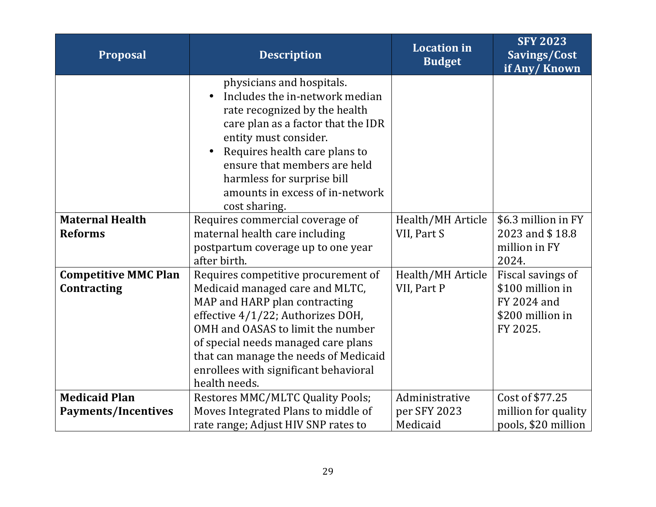| Proposal                                           | <b>Description</b>                                                                                                                                                                                                                                                                                                          | <b>Location</b> in<br><b>Budget</b>        | <b>SFY 2023</b><br>Savings/Cost<br>if Any/Known                                      |
|----------------------------------------------------|-----------------------------------------------------------------------------------------------------------------------------------------------------------------------------------------------------------------------------------------------------------------------------------------------------------------------------|--------------------------------------------|--------------------------------------------------------------------------------------|
|                                                    | physicians and hospitals.<br>Includes the in-network median<br>$\bullet$<br>rate recognized by the health<br>care plan as a factor that the IDR<br>entity must consider.<br>Requires health care plans to<br>ensure that members are held<br>harmless for surprise bill<br>amounts in excess of in-network<br>cost sharing. |                                            |                                                                                      |
| <b>Maternal Health</b><br><b>Reforms</b>           | Requires commercial coverage of<br>maternal health care including<br>postpartum coverage up to one year<br>after birth.                                                                                                                                                                                                     | Health/MH Article<br>VII, Part S           | \$6.3 million in FY<br>2023 and \$18.8<br>million in FY<br>2024.                     |
| <b>Competitive MMC Plan</b><br>Contracting         | Requires competitive procurement of<br>Medicaid managed care and MLTC,<br>MAP and HARP plan contracting<br>effective 4/1/22; Authorizes DOH,<br>OMH and OASAS to limit the number<br>of special needs managed care plans<br>that can manage the needs of Medicaid<br>enrollees with significant behavioral<br>health needs. | Health/MH Article<br>VII, Part P           | Fiscal savings of<br>\$100 million in<br>FY 2024 and<br>\$200 million in<br>FY 2025. |
| <b>Medicaid Plan</b><br><b>Payments/Incentives</b> | <b>Restores MMC/MLTC Quality Pools;</b><br>Moves Integrated Plans to middle of<br>rate range; Adjust HIV SNP rates to                                                                                                                                                                                                       | Administrative<br>per SFY 2023<br>Medicaid | Cost of \$77.25<br>million for quality<br>pools, \$20 million                        |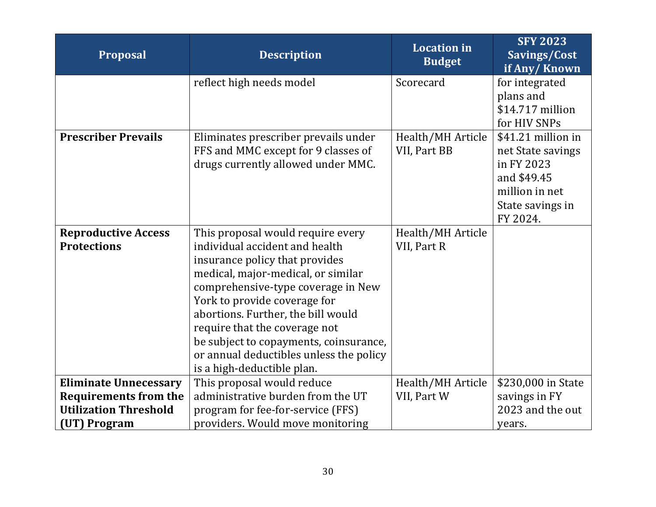| Proposal                     | <b>Description</b>                      | <b>Location</b> in<br><b>Budget</b> | <b>SFY 2023</b><br>Savings/Cost<br>if Any/Known |
|------------------------------|-----------------------------------------|-------------------------------------|-------------------------------------------------|
|                              | reflect high needs model                | Scorecard                           | for integrated                                  |
|                              |                                         |                                     | plans and                                       |
|                              |                                         |                                     | \$14.717 million                                |
|                              |                                         |                                     | for HIV SNPs                                    |
| <b>Prescriber Prevails</b>   | Eliminates prescriber prevails under    | Health/MH Article                   | \$41.21 million in                              |
|                              | FFS and MMC except for 9 classes of     | VII, Part BB                        | net State savings                               |
|                              | drugs currently allowed under MMC.      |                                     | in FY 2023                                      |
|                              |                                         |                                     | and \$49.45<br>million in net                   |
|                              |                                         |                                     |                                                 |
|                              |                                         |                                     | State savings in<br>FY 2024.                    |
| <b>Reproductive Access</b>   | This proposal would require every       | Health/MH Article                   |                                                 |
| <b>Protections</b>           | individual accident and health          | VII, Part R                         |                                                 |
|                              | insurance policy that provides          |                                     |                                                 |
|                              | medical, major-medical, or similar      |                                     |                                                 |
|                              | comprehensive-type coverage in New      |                                     |                                                 |
|                              | York to provide coverage for            |                                     |                                                 |
|                              | abortions. Further, the bill would      |                                     |                                                 |
|                              | require that the coverage not           |                                     |                                                 |
|                              | be subject to copayments, coinsurance,  |                                     |                                                 |
|                              | or annual deductibles unless the policy |                                     |                                                 |
|                              | is a high-deductible plan.              |                                     |                                                 |
| <b>Eliminate Unnecessary</b> | This proposal would reduce              | Health/MH Article                   | \$230,000 in State                              |
| <b>Requirements from the</b> | administrative burden from the UT       | VII, Part W                         | savings in FY                                   |
| <b>Utilization Threshold</b> | program for fee-for-service (FFS)       |                                     | 2023 and the out                                |
| (UT) Program                 | providers. Would move monitoring        |                                     | years.                                          |